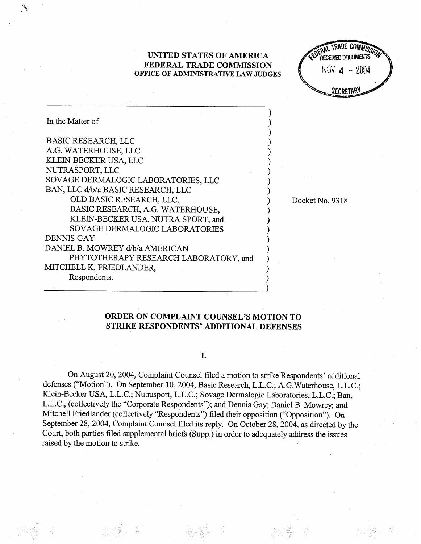# UNITED STATES OF AMERICA FEDERAL TRADE COMMISSION OFFICE OF ADMINISTRATIVE LAW JUDGES

RAL TRADE COMMISS **RECEIVED DOCUMENTS**  $WGV$   $A - 2004$ SECRETARY

| In the Matter of                                                       |  |
|------------------------------------------------------------------------|--|
| <b>BASIC RESEARCH, LLC</b>                                             |  |
| A.G. WATERHOUSE, LLC                                                   |  |
| KLEIN-BECKER USA, LLC                                                  |  |
| NUTRASPORT, LLC                                                        |  |
| SOVAGE DERMALOGIC LABORATORIES, LLC                                    |  |
| BAN, LLC d/b/a BASIC RESEARCH, LLC                                     |  |
| OLD BASIC RESEARCH, LLC,                                               |  |
| BASIC RESEARCH, A.G. WATERHOUSE,<br>KLEIN-BECKER USA, NUTRA SPORT, and |  |
| <b>SOVAGE DERMALOGIC LABORATORIES</b>                                  |  |
| <b>DENNIS GAY</b>                                                      |  |
| DANIEL B. MOWREY d/b/a AMERICAN                                        |  |
| PHYTOTHERAPY RESEARCH LABORATORY, and                                  |  |
| MITCHELL K. FRIEDLANDER,                                               |  |
| Respondents.                                                           |  |

### Docket No. 9318

# ORDER ON COMPLAINT COUNSEL'S MOTION TO STRIKE RESPONDENTS' ADDITIONAL DEFENSES

## I.

On August 20, 2004, Complaint Counsel fied a motion to strke Respondents' additional defenses ("Motion"). On September 10, 2004, Basic Research, L.L.C.; A.G.Waterhouse, L.L.C.; Klein-Becker USA, L.L.c.; Nutrasport, L.L.c.; Sovage Dermalogic Laboratories, L.L.c.; Ban L.L.C., (collectively the "Corporate Respondents"); and Dennis Gay; Daniel B. Mowrey; and Mitchell Friedlander (collectively "Respondents") filed their opposition ("Opposition"). On September 28, 2004, Complaint Counsel filed its reply. On October 28, 2004, as directed by the Cour, both paries fied supplemental briefs (Supp.) in order to adequately address the issues raised by the motion to strike.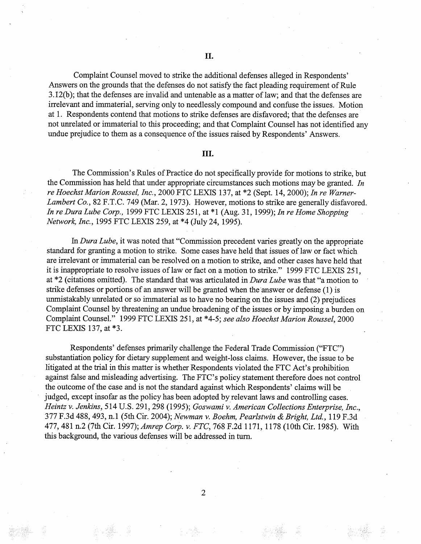Complaint Counsel moved to strike the additional defenses alleged in Respondents Answers on the grounds that the defenses do not satisfy the fact pleading requirement of Rule  $3.12(b)$ ; that the defenses are invalid and untenable as a matter of law; and that the defenses are irrelevant and immaterial, serving only to needlessly compound and confuse the issues. Motion at I. Respondents contend that motions to strike defenses are disfavored; that the defenses are not unelated or immaterial to this proceeding; and that Complaint Counsel has not identified any undue prejudice to them as a consequence of the issues raised by Respondents' Answers.

## II.

The Commission's Rules of Practice do not specifically provide for motions to strike, but the Commission has held that under appropriate circumstances such motions may be granted. In re Hoechst Marion Roussel, Inc. 2000 FTC LEXIS 137, at \*2 (Sept. 14 2000); In re Warner-Lambert Co., 82 F.T.C. 749 (Mar. 2, 1973). However, motions to strike are generally disfavored. In re Dura Lube Corp., 1999 FTC LEXIS 251, at  $*1$  (Aug. 31, 1999); In re Home Shopping Network, Inc., 1995 FTC LEXIS 259, at \*4 (July 24, 1995).

In Dura Lube, it was noted that "Commission precedent varies greatly on the appropriate standard for granting a motion to strike. Some cases have held that issues of law or fact which are irelevant or immaterial can be resolved on a motion to strike, and other cases have held that it is inappropriate to resolve issues of law or fact on a motion to strike." 1999 FTC LEXIS 251, at \*2 (citations omitted). The standard that was articulated in Dura Lube was that "a motion to strike defenses or portions of an answer will be granted when the answer or defense (1) is unmistakably unrelated or so immaterial as to have no bearing on the issues and (2) prejudices Complaint Counsel by threatening an undue broadenig of the issues or by imposing a burden on Complaint Counsel." 1999 FTC LEXIS 251, at \*4-5; see also Hoechst Marion Roussel, 2000 FTC LEXIS 137, at \*3.

Respondents' defenses primarly challenge the Federal Trade Commission ("FTC" substantiation policy for dietary supplement and weight-loss claims. However, the issue to be litigated at the trial in this matter is whether Respondents violated the FTC Act's prohibition against false and misleading advertising. The FTC's policy statement therefore does not control the outcome of the case and is not the standard against which Respondents' claims will be judged, except insofar as the policy has been adopted by relevant laws and controlling cases. Heintz v. Jenkins, 514 U.S. 291, 298 (1995); Goswami v. American Collections Enterprise, Inc., 377 F.3d 488, 493, n.1 (5th Cir. 2004); Newman v. Boehm, Pearlstwin & Bright, Ltd., 119 F.3d 477, 481 n.2 (7th Cir. 1997); Amrep Corp. v. FTC, 768 F.2d 1171, 1178 (10th Cir. 1985). With this background, the various defenses will be addressed in turn.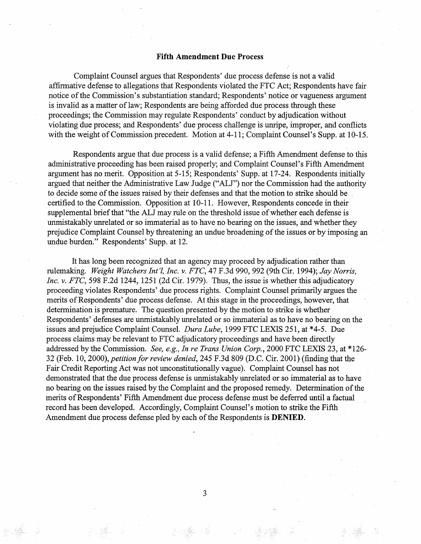## Fifth Amendment Due Process

Complaint Counsel argues that Respondents' due process defense is not a valid affirmative defense to allegations that Respondents violated the FTC Act; Respondents have fair notice of the Commission's substantiation standard; Respondents' notice or vagueness argument is invalid as a matter of law; Respondents are being afforded due process through these proceedings; the Commssion may regulate Respondents' conduct by adjudication without violating due process; and Respondents' due process challenge is unripe, improper, and conflicts with the weight of Commission precedent. Motion at 4-11; Complaint Counsel's Supp. at 10-15.

Respondents argue that due process is a valid defense; a Fifth Amendment defense to this administrative proceeding has been raised properly; and Complaint Counsel's Fifth Amendment argument has no merit. Opposition at 5-15; Respondents' Supp. at 17-24. Respondents initially argued that neither the Administrative Law Judge ("ALJ") nor the Commission had the authority to decide some of the issues raised by their defenses and that the motion to strike should be certified to the Commission. Opposition at 10-11. However, Respondents concede in their supplemental brief that "the ALJ may rule on the threshold issue of whether each defense is unmistakably unrelated or so immaterial as to have no bearing on the issues, and whether they prejudice Complaint Counsel by threatening an undue broadening of the issues or by imposing an undue burden." Respondents' Supp. at 12.

It has long been recognized that an agency may proceed by adjudication rather than rulemaking. Weight Watchers Int'l, Inc. v. FTC, 47 F.3d 990, 992 (9th Cir. 1994); Jay Norris, Inc. v. FTC, 598 F.2d 1244, 1251 (2d Cir. 1979). Thus, the issue is whether this adjudicatory proceeding violates Respondents' due process rights. Complaint Counsel primarly argues the merits of Respondents' due process defense. At this stage in the proceedings , however, that determination is prematue. The question presented by the motion to strike is whether Respondents' defenses are unmistakably unrelated or so immaterial as to have no bearng on the issues and prejudice Complaint Counsel. Dura Lube, 1999 FTC LEXIS 251, at \*4-5. Due process claims may be relevant to FTC adjudicatory proceedings and have been directly addressed by the Commission. See, e.g., In re Trans Union Corp., 2000 FTC LEXIS 23, at \*126-32 (Feb. 10, 2000), petition for review denied, 245 F.3d 809 (D.C. Cir. 2001) (finding that the Fair Credit Reporting Act was not unconstitutionally vague). Complaint Counsel has not demonstrated that the due process defense is unmistakably unrelated or so immaterial as to have no bearig on the issues raised by the Complaint and the proposed remedy. Determination of the merits of Respondents' Fifth Amendment due process defense must be deferred until a factual record has been developed. Accordingly, Complaint Counsel's motion to strike the Fifth Amendment due process defense pled by each of the Respondents is DENIED.

3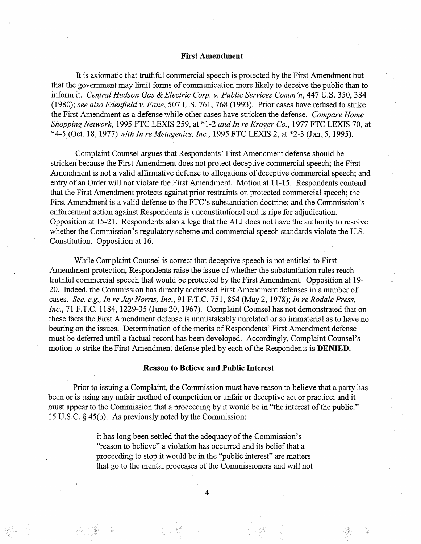## First Amendment

It is axiomatic that truthful commercial speech is protected by the First Amendment but that the govemment may limit forms of communication more likely to deceive the public than to inform it. Central Hudson Gas & Electric Corp. v. Public Services Comm'n, 447 U.S. 350, 384 (1980); see also Edenfield v. Fane, 507 U.S. 761, 768 (1993). Prior cases have refused to strike the First Amendment as a defense while other cases have stricken the defense. Compare Home Shopping Network, 1995 FTC LEXIS 259, at \*1-2 and In re Kroger Co., 1977 FTC LEXIS 70, at \*4-5 (Oct. 18, 1977) with In re Metagenics, Inc., 1995 FTC LEXIS 2, at \*2-3 (Jan. 5, 1995).

Complaint Counsel argues that Respondents' First Amendment defense should be stricken because the First Amendment does not protect deceptive commercial speech; the First Amendment is not a valid affirmative defense to allegations of deceptive commercial speech; and entry of an Order will not violate the First Amendment. Motion at 11-15. Respondents contend that the First Amendment protects against prior restraints on protected commercial speech; the First Amendment is a valid defense to the FTC's substantiation doctrine; and the Commission's enforcement action against Respondents is unconstitutional and is ripe for adjudication. Opposition at 15-21. Respondents also allege that the AU does not have the authority to resolve whether the Commission's regulatory scheme and commercial speech standards violate the U.S. Constitution. Opposition at 16.

While Complaint Counsel is correct that deceptive speech is not entitled to First. Amendment protection, Respondents raise the issue of whether the substantiation rules reach truthful commercial speech that would be protected by the First Amendment. Opposition at 19-20. Indeed, the Commission has directly addressed First Amendment defenses in a number of cases. See, e.g., In re Jay Norris, Inc., 91 F.T.C. 751, 854 (May 2, 1978); In re Rodale Press, Inc., 71 F.T.C. 1184, 1229-35 (June 20, 1967). Complaint Counsel has not demonstrated that on these facts the First Amendment defense is unmistakably unrelated or so immaterial as to have no bearing on the issues. Determination of the merits of Respondents' First Amendment defense must be deferred until a factual record has been developed. Accordingly, Complaint Counsel's motion to strike the First Amendment defense pled by each of the Respondents is DENIED.

## Reason to Believe and Public Interest

Prior to issuing a Complaint, the Commission must have reason to believe that a party has been or is using any unfair method of competition or unfair or deceptive act or practice; and it must appear to the Commission that a proceeding by it would be in "the interest of the public." 15 U.S.C.  $\S$  45(b). As previously noted by the Commission:

> it has long been settled that the adequacy of the Commission's "reason to believe" a violation has occurred and its belief that a proceeding to stop it would be in the "public interest" are matters that go to the mental processes of the Commissioners and will not

> > $\overline{4}$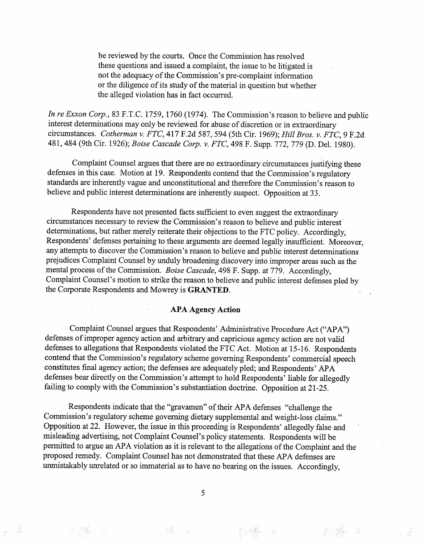be reviewed by the courts. Once the Commission has resolved these questions and issued a complaint, the issue to be litigated is not the adequacy of the Commission's pre-complaint information or the diligence of its study of the material in question but whether the alleged violation has in fact occured.

In re Exxon Corp., 83 F.T.C. 1759, 1760 (1974). The Commission's reason to believe and public interest determinations may only be reviewed for abuse of discretion or in extraordinary circumstances. Cotherman v. FTC, 417 F.2d 587, 594 (5th Cir. 1969); Hill Bros. v. FTC, 9 F.2d 481, 484 (9th Cir. 1926); Boise Cascade Corp. v. FTC, 498 F. Supp. 772, 779 (D. Del. 1980).

Complaint Counsel argues that there are no extraordinary circumstances justifyng these defenses in this case. Motion at 19. Respondents contend that the Commission's regulatory standards are inherently vague and unconstitutional and therefore the Commission's reason to believe and public interest determinations are inherently suspect. Opposition at 33.

Respondents have not presented facts sufficient to even suggest the extraordinary circumstances necessary to review the Commission's reason to believe and public interest determinations, but rather merely reiterate their objections to the FTC policy. Accordingly, Respondents' defenses pertaining to these arguments are deemed legally insufficient. Moreover, any attempts to discover the Commission's reason to believe and public interest determinations prejudices Complaint Counsel by unduly broadening discovery into improper areas such as the mental process of the Commission. Boise Cascade, 498 F. Supp. at 779. Accordingly, Complaint Counsel's motion to strike the reason to believe and public interest defenses pled by the Corporate Respondents and Mowrey is GRANTED.

#### APA Agency Action

Complaint Counsel argues that Respondents' Administrative Procedure Act ("APA") defenses of improper agency action and arbitrary and capricious agency action are not valid defenses to allegations that Respondents violated the FTC Act. Motion at 15-16. Respondents contend that the Commission's regulatory scheme governing Respondents' commercial speech constitutes final agency action; the defenses are adequately pled; and Respondents' APA defenses bear directly on the Commission's attempt to hold Respondents' liable for allegedly failing to comply with the Commission's substantiation doctrine. Opposition at 21-25.

Respondents indicate that the "gravamen" of their APA defenses "challenge the Commission's regulatory scheme governing dietary supplemental and weight-loss claims." Opposition at 22. However, the issue in this proceeding is Respondents' allegedly false and misleading advertising, not Complaint Counsel's policy statements. Respondents will be permitted to argue an APA violation as it is relevant to the allegations of the Complaint and the proposed remedy. Complaint Counsel has not demonstrated that these APA defenses are unmistakably unrelated or so immaterial as to have no bearing on the issues. Accordingly,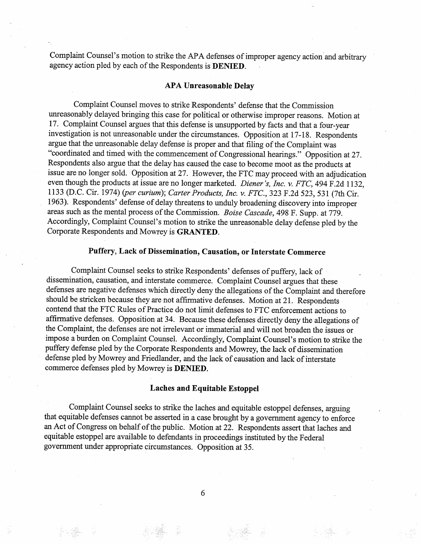Complaint Counsel's motion to strike the APA defenses of improper agency action and arbitrary agency action pled by each of the Respondents is DENIED.

### APA Unreasonable Delay

Complaint Counsel moves to strike Respondents' defense that the Commission uneasonably delayed bringing this case for political or otherwise improper reasons. Motion at 17. Complaint Counsel argues that this defense is unsupported by facts and that a four-year investigation is not unreasonable under the circumstances. Opposition at 17-18. Respondents argue that the unreasonable delay defense is proper and that fiing of the Complaint was "coordinated and timed with the commencement of Congressional hearings." Opposition at 27. Respondents also argue that the delay has caused the case to become moot as the products at issue are no longer sold. Opposition at 27. However, the FTC may proceed with an adjudication even though the products at issue are no longer marketed. Diener's, Inc. v. FTC, 494 F.2d 1132, 1133 (D.C. Cir. 1974) (per curium); Carter Products, Inc. v. FTC., 323 F.2d 523, 531 (7th Cir. 1963). Respondents' defense of delay threatens to unduly broadening discovery into improper areas such as the mental process of the Commission. Boise Cascade, 498 F. Supp. at 779. Accordingly, Complaint Counsel's motion to strike the unreasonable delay defense pled by the Corporate Respondents and Mowrey is GRATED.

# Puffery, Lack of Dissemination, Causation, or Interstate Commerce

Complaint Counsel seeks to strike Respondents' defenses of puffery, lack of dissemination, causation, and interstate commerce. Complaint Counsel argues that these defenses are negative defenses which directly deny the allegations of the Complaint and therefore should be stricken because they are not affrmative defenses. Motion at 21. Respondents contend that the FTC Rules of Practice do not limit defenses to FTC enforcement actions to affirmative defenses. Opposition at 34. Because these defenses directly deny the allegations of the Complaint, the defenses are not irrelevant or immaterial and will not broaden the issues or impose a burden on Complaint Counsel. Accordingly, Complaint Counsel's motion to strke the puffery defense pled by the Corporate Respondents and Mowrey, the lack of dissemination defense pled by Mowrey and Friedlander, and the lack of causation and lack of interstate commerce defenses pled by Mowrey is DENIED.

### Laches and Equitable Estoppel

Complaint Counsel seeks to strke the laches and equitable estoppel defenses, arguing that equitable defenses cannot be asserted in a case brought by a government agency to enforce an Act of Congress on behalf of the public. Motion at 22. Respondents assert that laches and equitable estoppel are available to defendants in proceedings instituted by the Federal government under appropriate circumstances. Opposition at 35.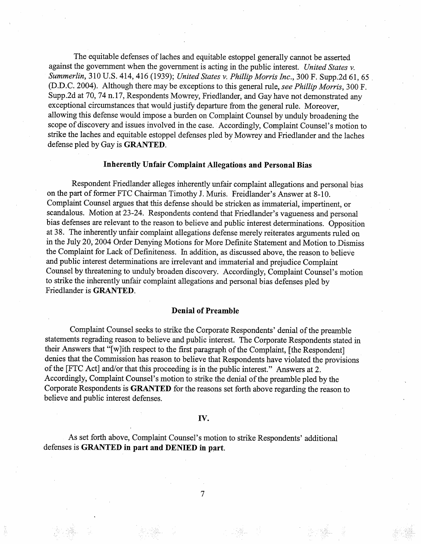The equitable defenses of laches and equitable estoppel generally cannot be asserted against the government when the government is acting in the public interest. United States v. Summerlin, 310 U.S. 414, 416 (1939); United States v. Phillip Morris Inc., 300 F. Supp.2d 61, 65 (D.D.C. 2004). Although there may be exceptions to this general rule, see Phillip Morris, 300 F. Supp.2d at 70, 74 n.17, Respondents Mowrey, Friedlander, and Gay have not demonstrated any exceptional circumstances that would justify departure from the general rule. Moreover, allowing this defense would impose a burden on Complaint Counsel by unduly broadening the scope of discovery and issues involved in the case. Accordingly, Complaint Counsel's motion to strike the laches and equitable estoppel defenses pled by Mowrey and Friedlander and the laches defense pled by Gay is **GRANTED**.

## Inherently Unfair Complaint Allegations and Personal Bias

Respondent Friedlander alleges inherently unfair complaint allegations and personal bias on the part of former FTC Chairman Timothy J. Muris. Freidlander's Answer at 8-10. Complaint Counsel argues that this defense should be stricken as immaterial, impertinent, or scandalous. Motion at 23-24. Respondents contend that Friedlander's vagueness and personal bias defenses are relevant to the reason to believe and public interest determinations. Opposition at 38. The inherently unfair complaint allegations defense merely reiterates arguments ruled on in the July 20, 2004 Order Denying Motions for More Definite Statement and Motion to Dismiss the Complaint for Lack of Definiteness. In addition, as discussed above, the reason to believe and public interest determinations are irrelevant and immaterial and prejudice Complaint Counsel by threatening to unduly broaden discovery. Accordingly, Complaint Counsel's motion to strike the inherently unfair complaint allegations and personal bias defenses pled by Friedlander is GRATED.

### Denial of Preamble

Complait Counsel seeks to strike the Corporate Respondents' denial of the preamble statements regrading reason to believe and public interest. The Corporate Respondents stated in their Answers that "(w)ith respect to the first paragraph of the Complaint, (the Respondent) denies that the Commission has reason to believe that Respondents have violated the provisions of the (FTC Act) and/or that this proceeding is in the public interest." Answers at 2. Accordingly, Complaint Counsel's motion to strike the denial of the preamble pled by the Corporate Respondents is GRATED for the reasons set forth above regarding the reason to believe and public interest defenses.

## IV.

As set forth above, Complaint Counsel's motion to strike Respondents' additional defenses is GRATED in part and DENIED in part.